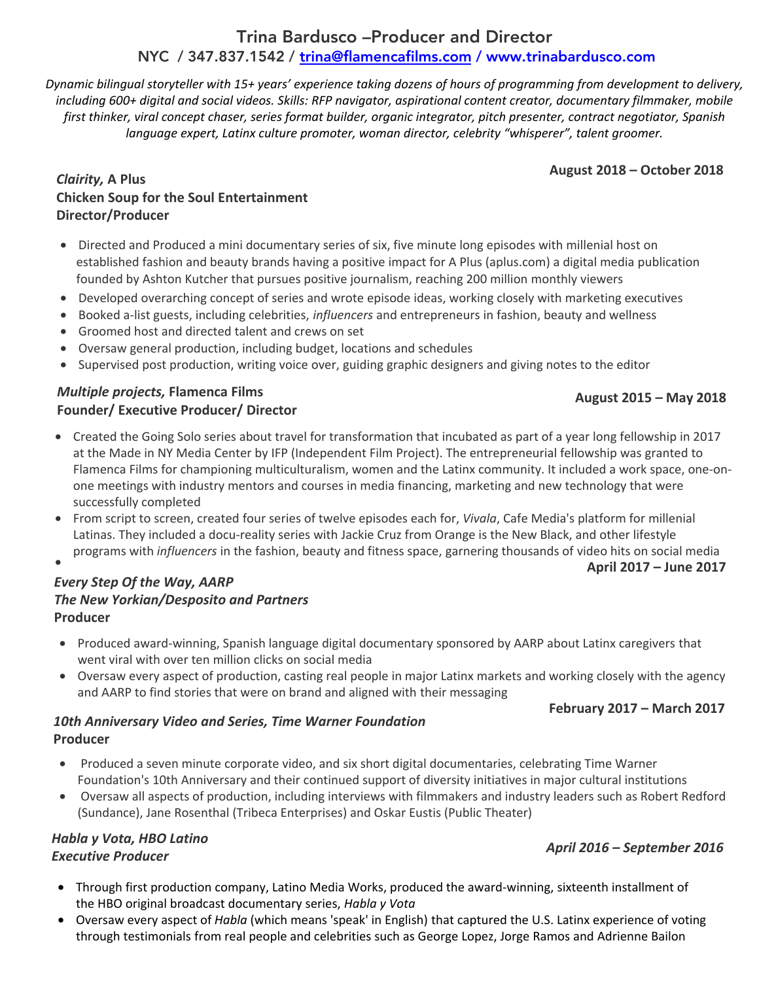# Trina Bardusco –Producer and Director NYC / 347.837.1542 / trina@flamencafilms.com / www.trinabardusco.com

*Dynamic bilingual storyteller with 15+ years' experience taking dozens of hours of programming from development to delivery, including 600+ digital and social videos. Skills: RFP navigator, aspirational content creator, documentary filmmaker, mobile first thinker, viral concept chaser, series format builder, organic integrator, pitch presenter, contract negotiator, Spanish language expert, Latinx culture promoter, woman director, celebrity "whisperer", talent groomer.* 

# **August 201<sup>8</sup> – October <sup>2018</sup>** *Clairity,* **A Plus**

# **Chicken Soup for the Soul Entertainment Director/Producer**

- Directed and Produced a mini documentary series of six, five minute long episodes with millenial host on established fashion and beauty brands having a positive impact for A Plus (aplus.com) a digital media publication founded by Ashton Kutcher that pursues positive journalism, reaching 200 million monthly viewers
- Developed overarching concept of series and wrote episode ideas, working closely with marketing executives
- Booked a-list guests, including celebrities, *influencers* and entrepreneurs in fashion, beauty and wellness
- Groomed host and directed talent and crews on set
- Oversaw general production, including budget, locations and schedules
- Supervised post production, writing voice over, guiding graphic designers and giving notes to the editor

### *Multiple projects,* **August 2015 – May 2018 Flamenca Films Founder/ Executive Producer/ Director**

- Created the Going Solo series about travel for transformation that incubated as part of a year long fellowship in 2017 at the Made in NY Media Center by IFP (Independent Film Project). The entrepreneurial fellowship was granted to Flamenca Films for championing multiculturalism, women and the Latinx community. It included a work space, one-onone meetings with industry mentors and courses in media financing, marketing and new technology that were successfully completed
- From script to screen, created four series of twelve episodes each for, *Vivala*, Cafe Media's platform for millenial Latinas. They included a docu-reality series with Jackie Cruz from Orange is the New Black, and other lifestyle
- programs with *influencers* in the fashion, beauty and fitness space, garnering thousands of video hits on social media • **April 2017 – June 2017**

# *Every Step Of the Way, AARP The New Yorkian/Desposito and Partners* **Producer**

- Produced award-winning, Spanish language digital documentary sponsored by AARP about Latinx caregivers that went viral with over ten million clicks on social media
- Oversaw every aspect of production, casting real people in major Latinx markets and working closely with the agency and AARP to find stories that were on brand and aligned with their messaging

#### **February 2017 – March 2017**

# *10th Anniversary Video and Series, Time Warner Foundation* **Producer**

- Produced a seven minute corporate video, and six short digital documentaries, celebrating Time Warner Foundation's 10th Anniversary and their continued support of diversity initiatives in major cultural institutions
- Oversaw all aspects of production, including interviews with filmmakers and industry leaders such as Robert Redford (Sundance), Jane Rosenthal (Tribeca Enterprises) and Oskar Eustis (Public Theater)

# *Habla y Vota, HBO Latino Executive Producer*

- Through first production company, Latino Media Works, produced the award-winning, sixteenth installment of the HBO original broadcast documentary series, *Habla y Vota*
- Oversaw every aspect of *Habla* (which means 'speak' in English) that captured the U.S. Latinx experience of voting through testimonials from real people and celebrities such as George Lopez, Jorge Ramos and Adrienne Bailon

# *April 2016 – September 2016*